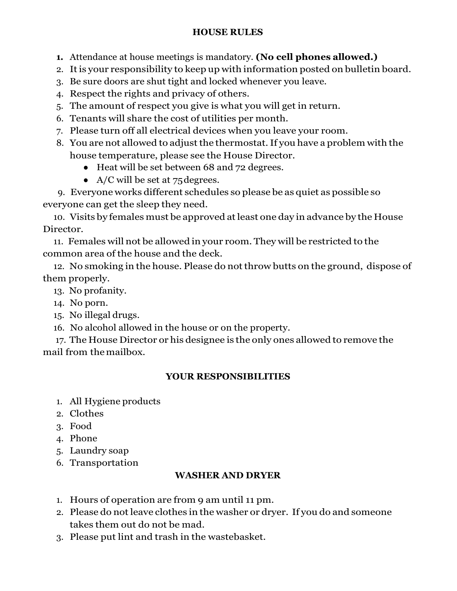### **HOUSE RULES**

**1.** Attendance at house meetings is mandatory. **(No cell phones allowed.)**

- 2. It is your responsibility to keep up with information posted on bulletin board.
- 3. Be sure doors are shut tight and locked whenever you leave.
- 4. Respect the rights and privacy of others.
- 5. The amount of respect you give is what you will get in return.
- 6. Tenants will share the cost of utilities per month.
- 7. Please turn off all electrical devices when you leave your room.
- 8. You are not allowed to adjust the thermostat.If you have a problem with the house temperature, please see the House Director.
	- Heat will be set between 68 and 72 degrees.
	- A/C will be set at  $75 \text{ degrees.}$

9. Everyone works different schedules so please be as quiet as possible so everyone can get the sleep they need.

10. Visits by females must be approved atleast one day in advance by the House Director.

11. Females will not be allowed in your room. They will be restricted to the common area of the house and the deck.

12. No smoking in the house. Please do not throw butts on the ground, dispose of them properly.

13. No profanity.

- 14. No porn.
- 15. No illegal drugs.

16. No alcohol allowed in the house or on the property.

17. The House Director or his designee is the only ones allowed to remove the mail from themailbox.

# **YOUR RESPONSIBILITIES**

- 1. All Hygiene products
- 2. Clothes
- 3. Food
- 4. Phone
- 5. Laundry soap
- 6. Transportation

# **WASHER AND DRYER**

- 1. Hours of operation are from 9 am until 11 pm.
- 2. Please do not leave clothes in the washer or dryer. If you do and someone takes them out do not be mad.
- 3. Please put lint and trash in the wastebasket.